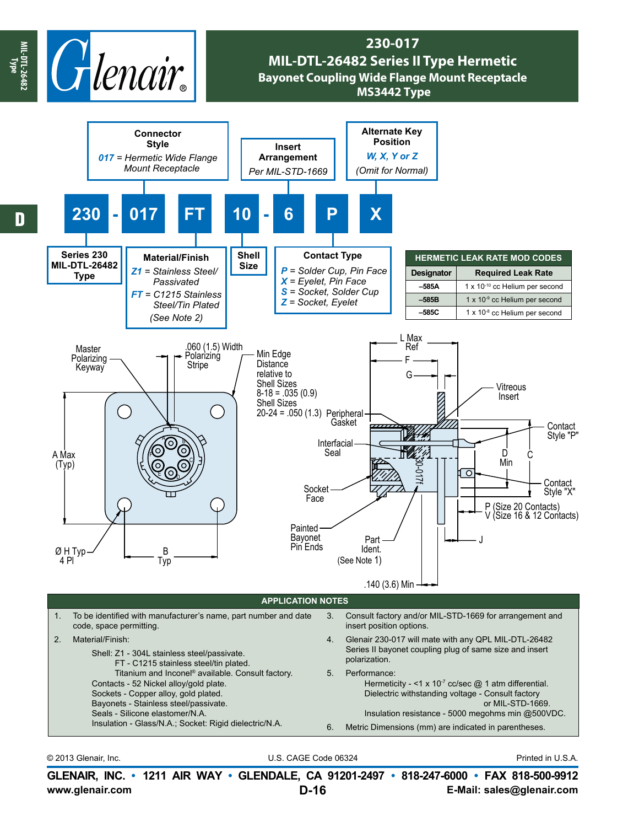

## **230-017 MIL-DTL-26482 Series II Type Hermetic Bayonet Coupling Wide Flange Mount Receptacle MS3442 Type**



© 2013 Glenair, Inc. U.S. CAGE Code 06324 Printed in U.S.A.

**www.glenair.com E-Mail: sales@glenair.com GLENAIR, INC. • 1211 AIR WAY • GLENDALE, CA 91201-2497 • 818-247-6000 • FAX 818-500-9912 D-16**

**MIL-DTL-26482 Type**